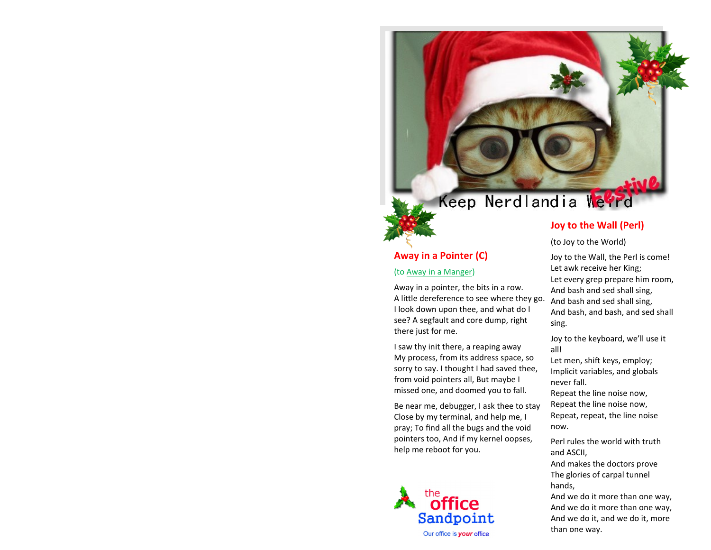# Keep Nerdlandia Weerd

# **Away in a Pointer (C)**

## (to [Away in a Manger\)](http://www.cyberhymnal.org/htm/a/w/awaymang.htm)

Away in a pointer, the bits in a row. A little dereference to see where they go. I look down upon thee, and what do I see? A segfault and core dump, right there just for me.

I saw thy init there, a reaping away My process, from its address space, so sorry to say. I thought I had saved thee, from void pointers all, But maybe I missed one, and doomed you to fall.

Be near me, debugger, I ask thee to stay Close by my terminal, and help me, I pray; To find all the bugs and the void pointers too, And if my kernel oopses, help me reboot for you.



# **Joy to the Wall (Perl)**

(to Joy to the World)

Joy to the Wall, the Perl is come! Let awk receive her King; Let every grep prepare him room, And bash and sed shall sing, And bash and sed shall sing, And bash, and bash, and sed shall sing.

Joy to the keyboard, we'll use it all!

Let men, shift keys, employ; Implicit variables, and globals never fall.

Repeat the line noise now, Repeat the line noise now, Repeat, repeat, the line noise now.

Perl rules the world with truth and ASCII,

And makes the doctors prove The glories of carpal tunnel hands,

And we do it more than one way, And we do it more than one way, And we do it, and we do it, more than one way.